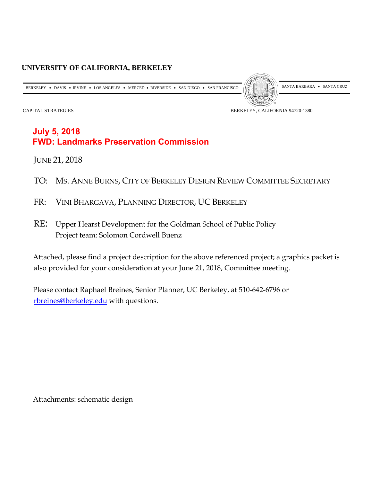## **UNIVERSITY OF CALIFORNIA, BERKELEY**

BERKELEY • DAVIS • IRVINE • LOS ANGELES • MERCED • RIVERSIDE • SAN DIEGO • SAN FRANCISCO  $\left\| \begin{matrix} \mathcal{S} \\ \mathcal{S} \end{matrix} \right\|$  santa Barbara • Santa Cruz



CAPITAL STRATEGIES BERKELEY, CALIFORNIA 94720-1380

# **July 5, 2018 FWD: Landmarks Preservation Commission**

JUNE 21, 2018

- TO: MS. ANNE BURNS, CITY OF BERKELEY DESIGN REVIEW COMMITTEE SECRETARY
- FR: VINI BHARGAVA, PLANNING DIRECTOR, UC BERKELEY
- RE: Upper Hearst Development for the Goldman School of Public Policy Project team: Solomon Cordwell Buenz

Attached, please find a project description for the above referenced project; a graphics packet is also provided for your consideration at your June 21, 2018, Committee meeting.

Please contact Raphael Breines, Senior Planner, UC Berkeley, at 510-642-6796 or [rbreines@berkeley.edu](mailto:rbreines@berkeley.edu) with questions.

Attachments: schematic design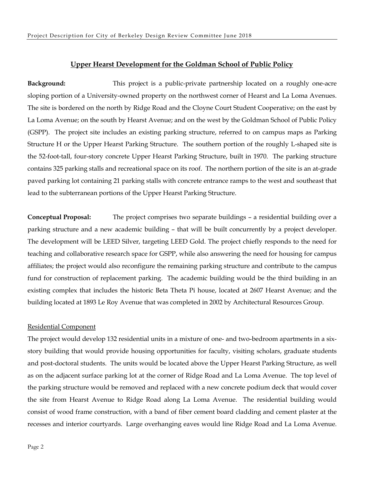#### **Upper Hearst Development for the Goldman School of Public Policy**

**Background:** This project is a public-private partnership located on a roughly one-acre sloping portion of a University-owned property on the northwest corner of Hearst and La Loma Avenues. The site is bordered on the north by Ridge Road and the Cloyne Court Student Cooperative; on the east by La Loma Avenue; on the south by Hearst Avenue; and on the west by the Goldman School of Public Policy (GSPP). The project site includes an existing parking structure, referred to on campus maps as Parking Structure H or the Upper Hearst Parking Structure. The southern portion of the roughly L-shaped site is the 52-foot-tall, four-story concrete Upper Hearst Parking Structure, built in 1970. The parking structure contains 325 parking stalls and recreational space on its roof. The northern portion of the site is an at-grade paved parking lot containing 21 parking stalls with concrete entrance ramps to the west and southeast that lead to the subterranean portions of the Upper Hearst Parking Structure.

**Conceptual Proposal:** The project comprises two separate buildings – a residential building over a parking structure and a new academic building – that will be built concurrently by a project developer. The development will be LEED Silver, targeting LEED Gold. The project chiefly responds to the need for teaching and collaborative research space for GSPP, while also answering the need for housing for campus affiliates; the project would also reconfigure the remaining parking structure and contribute to the campus fund for construction of replacement parking. The academic building would be the third building in an existing complex that includes the historic Beta Theta Pi house, located at 2607 Hearst Avenue; and the building located at 1893 Le Roy Avenue that was completed in 2002 by Architectural Resources Group.

#### Residential Component

The project would develop 132 residential units in a mixture of one- and two-bedroom apartments in a sixstory building that would provide housing opportunities for faculty, visiting scholars, graduate students and post-doctoral students. The units would be located above the Upper Hearst Parking Structure, as well as on the adjacent surface parking lot at the corner of Ridge Road and La Loma Avenue. The top level of the parking structure would be removed and replaced with a new concrete podium deck that would cover the site from Hearst Avenue to Ridge Road along La Loma Avenue. The residential building would consist of wood frame construction, with a band of fiber cement board cladding and cement plaster at the recesses and interior courtyards. Large overhanging eaves would line Ridge Road and La Loma Avenue.